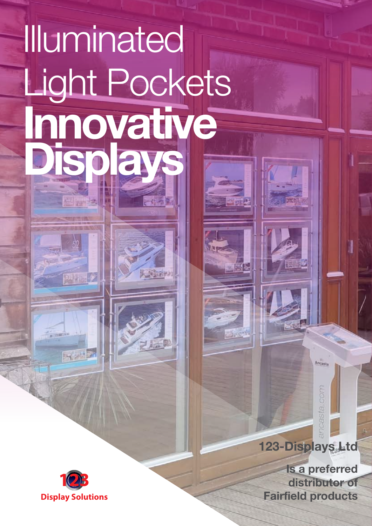#### **Ultra bright** Illuminated **LED Light Pockets™ have been designed with a tremendous amount of attention to detail. All acrylic has been finished to a very high standard and no edges are sharp. Only use the LED's cool which cool which cool which cool which cool which cool which cool which cool have been used as these give the best colour rendering.** We have developed an extensive range  $\bigcap$  different designations to enhance the set of  $\bigcup$ appearance of different property types. Kits are supplied with 4 metres of cable, panel clamps, isolators, transformers and LED Light Pockets™ If you are not using our professional **Innovative** a national basis, please make sure that there is enough electrical power for the  $\sim$ display. Light Pockets **Displays**

( 5289)



22 おおり

**Is a preferred distributor of**

**123-Displays Ltd**

Ancasta

corsta cor

• Units have a 20mm silver border (standard), or this can be printed to match your corporate identity.

• Available in sizes A4 - A1, to meet

Maintenance free with lamp life of up to

LED Light Pockets™ are highly energy efficient and use very low levels of

your requirements.

electricity.

国家社

**Fairfield products**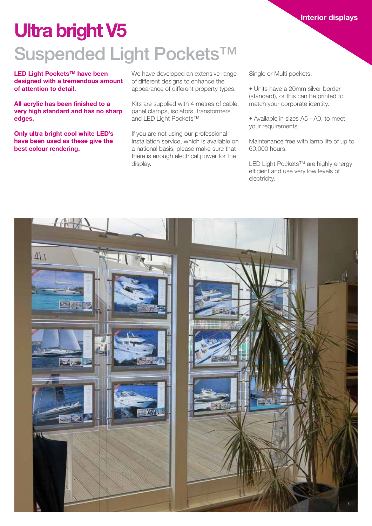## **Ultra bright V5** Suspended Light Pockets<sup>™</sup>

**LED Light Pockets™ have been designed with a tremendous amount of attention to detail.**

**All acrylic has been finished to a very high standard and has no sharp edges.**

**Only ultra bright cool white LED's have been used as these give the best colour rendering.**

We have developed an extensive range of different designs to enhance the appearance of different property types.

Kits are supplied with 4 metres of cable, panel clamps, isolators, transformers and LED Light Pockets™

If you are not using our professional Installation service, which is available on a national basis, please make sure that there is enough electrical power for the display.

Single or Multi pockets.

• Units have a 20mm silver border (standard), or this can be printed to match your corporate identity.

**Interior displays**

• Available in sizes A5 - A0, to meet your requirements.

Maintenance free with lamp life of up to 60,000 hours.

LED Light Pockets™ are highly energy efficient and use very low levels of electricity.

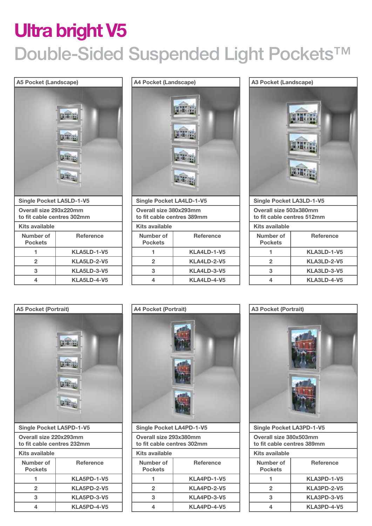## **Ultra bright V5** Double-Sided Suspended Light Pockets<sup>™</sup>









**3 KLA5PD-3-V5 4 KLA5PD-4-V5**



| Kits available              |                  |
|-----------------------------|------------------|
| Number of<br><b>Pockets</b> | <b>Reference</b> |
|                             | KLA4PD-1-V5      |
| 2                           | KLA4PD-2-V5      |
| з                           | KLA4PD-3-V5      |
|                             | KLA4PD-4-V5      |
|                             |                  |



| .                           |                  |
|-----------------------------|------------------|
| Number of<br><b>Pockets</b> | <b>Reference</b> |
|                             | KLA3PD-1-V5      |
| 2                           | KLA3PD-2-V5      |
| з                           | KLA3PD-3-V5      |
|                             | KLA3PD-4-V5      |
|                             |                  |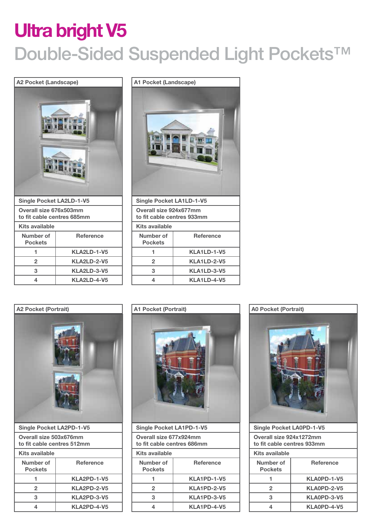## **Ultra bright V5** Double-Sided Suspended Light Pockets<sup>™</sup>

| <b>A2 Pocket (Landscape)</b>                         |                    |  |
|------------------------------------------------------|--------------------|--|
|                                                      |                    |  |
| <b>Single Pocket LA2LD-1-V5</b>                      |                    |  |
| Overall size 676x503mm<br>to fit cable centres 685mm |                    |  |
| <b>Kits available</b>                                |                    |  |
| Number of<br><b>Reference</b><br><b>Pockets</b>      |                    |  |
| 1                                                    | <b>KLA2LD-1-V5</b> |  |
| KLA2LD-2-V5<br>$\overline{2}$                        |                    |  |
| 3<br><b>KLA2LD-3-V5</b>                              |                    |  |
| 4                                                    | KLA2LD-4-V5        |  |





| <b>Reference</b>   |
|--------------------|
| KLA2PD-1-V5        |
| <b>KLA2PD-2-V5</b> |
| KLA2PD-3-V5        |
| KLA2PD-4-V5        |
|                    |



| <b>Single Pocket LA1PD-1-V5</b>                      |                  |  |
|------------------------------------------------------|------------------|--|
| Overall size 677x924mm<br>to fit cable centres 686mm |                  |  |
| Kits available                                       |                  |  |
| Number of<br><b>Pockets</b>                          | <b>Reference</b> |  |
| 1                                                    | KLA1PD-1-V5      |  |
| $\mathbf{2}$                                         | KLA1PD-2-V5      |  |
| 3                                                    | KLA1PD-3-V5      |  |
| KLA1PD-4-V5<br>4                                     |                  |  |
|                                                      |                  |  |

#### **A0 Pocket (Portrait)**



| <b>Single Pocket LA0PD-1-V5</b>                              |             |  |
|--------------------------------------------------------------|-------------|--|
| <b>Overall size 924x1272mm</b><br>to fit cable centres 933mm |             |  |
| Kits available                                               |             |  |
| Number of<br><b>Pockets</b>                                  | Reference   |  |
|                                                              | KLA0PD-1-V5 |  |
| $\overline{2}$                                               | KLA0PD-2-V5 |  |
| з                                                            | KLA0PD-3-V5 |  |
| 4                                                            | KLA0PD-4-V5 |  |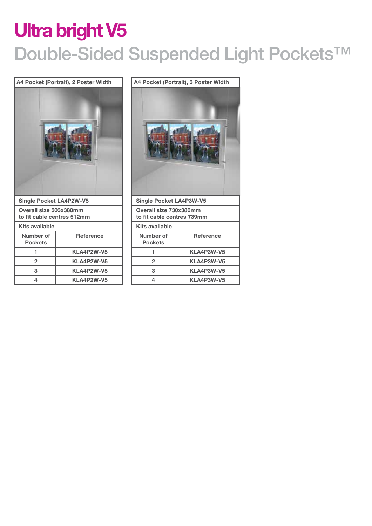## **Ultra bright V5** Double-Sided Suspended Light Pockets<sup>™</sup>

|                                                      | A4 Pocket (Portrait), 2 Poster Width |                             |                       | A4 Pocket (Portrait), 3 Poster Width                 |
|------------------------------------------------------|--------------------------------------|-----------------------------|-----------------------|------------------------------------------------------|
|                                                      |                                      |                             |                       |                                                      |
|                                                      |                                      |                             |                       |                                                      |
| <b>Single Pocket LA4P2W-V5</b>                       |                                      |                             |                       | <b>Single Pocket LA4P3W-V5</b>                       |
| Overall size 503x380mm<br>to fit cable centres 512mm |                                      |                             |                       | Overall size 730x380mm<br>to fit cable centres 739mm |
| <b>Kits available</b>                                |                                      |                             | <b>Kits available</b> |                                                      |
| Number of<br><b>Pockets</b>                          | <b>Reference</b>                     | Number of<br><b>Pockets</b> |                       | <b>Reference</b>                                     |
| 1                                                    | KLA4P2W-V5                           | 1                           |                       | KLA4P3W-V5                                           |
| $\overline{2}$                                       | KLA4P2W-V5                           | $\overline{2}$              |                       | KLA4P3W-V5                                           |
| 3                                                    | KLA4P2W-V5                           | 3                           |                       | KLA4P3W-V5                                           |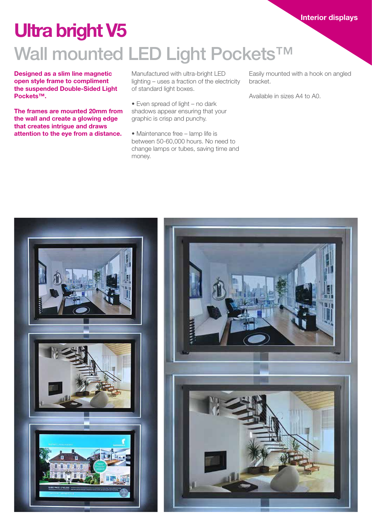## **Ultra bright V5**

## Wall mounted LED Light Pockets<sup>™</sup>

**Designed as a slim line magnetic open style frame to compliment the suspended Double-Sided Light Pockets™.** 

**The frames are mounted 20mm from the wall and create a glowing edge that creates intrigue and draws attention to the eye from a distance.**

Manufactured with ultra-bright LED lighting – uses a fraction of the electricity of standard light boxes.

- Even spread of light no dark shadows appear ensuring that your graphic is crisp and punchy.
- Maintenance free lamp life is between 50-60,000 hours. No need to change lamps or tubes, saving time and money.

Easily mounted with a hook on angled bracket.

Available in sizes A4 to A0.

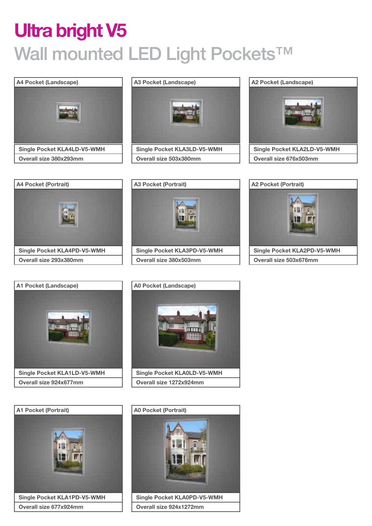## **Ultra bright V5** Wall mounted LED Light Pockets<sup>™</sup>





**Overall size 503x380mm**















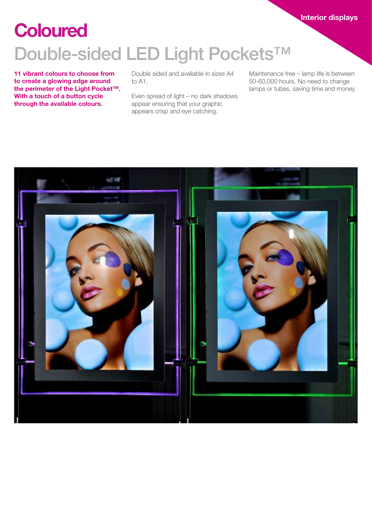#### **Interior displays**

#### Double-sided LED Light Pockets<sup>™</sup> **Coloured**

**11 vibrant colours to choose from to create a glowing edge around the perimeter of the Light Pocket™. With a touch of a button cycle through the available colours.**

Double sided and available in sizes A4 to A1.

Even spread of light – no dark shadows appear ensuring that your graphic appears crisp and eye catching.

Maintenance free – lamp life is between 50-60,000 hours. No need to change lamps or tubes, saving time and money.

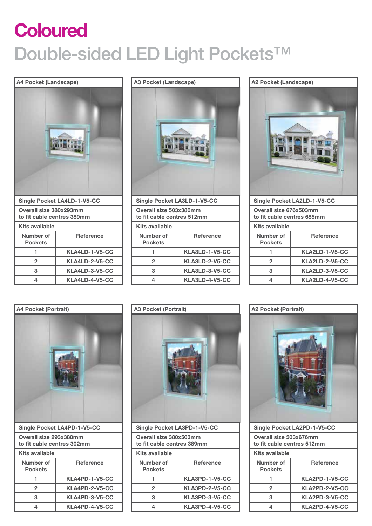## Double-sided LED Light Pockets<sup>™</sup> **Coloured**

#### **A4 Pocket (Landscape)**



# **Single Pocket LA3LD-1-V5-CC Overall size 503x380mm to fit cable centres 512mm Kits available A3 Pocket (Landscape)**

| Kits available              |                  |
|-----------------------------|------------------|
| Number of<br><b>Pockets</b> | <b>Reference</b> |
|                             | KLA3LD-1-V5-CC   |
| 2                           | KLA3LD-2-V5-CC   |
| з                           | KLA3LD-3-V5-CC   |
|                             | KLA3LD-4-V5-CC   |





**Overall size 293x380mm to fit cable centres 302mm Kits available Number of Pockets Reference 1 KLA4PD-1-V5-CC 2 KLA4PD-2-V5-CC 3 KLA4PD-3-V5-CC 4 KLA4PD-4-V5-CC**



| <b>Single Pocket LA3PD-1-V5-CC</b>                   |                  |  |
|------------------------------------------------------|------------------|--|
| Overall size 380x503mm<br>to fit cable centres 389mm |                  |  |
| Kits available                                       |                  |  |
| Number of<br><b>Pockets</b>                          | <b>Reference</b> |  |
|                                                      | KLA3PD-1-V5-CC   |  |
| $\mathbf{2}$                                         | KLA3PD-2-V5-CC   |  |
| 3                                                    | KLA3PD-3-V5-CC   |  |
| KLA3PD-4-V5-CC<br>4                                  |                  |  |
|                                                      |                  |  |





| Single Pocket LA2PD-1-V5-CC                          |                  |
|------------------------------------------------------|------------------|
| Overall size 503x676mm<br>to fit cable centres 512mm |                  |
| Kits available                                       |                  |
| Number of<br><b>Pockets</b>                          | <b>Reference</b> |
|                                                      | KLA2PD-1-V5-CC   |
| $\overline{2}$                                       | KLA2PD-2-V5-CC   |
| 3                                                    | KLA2PD-3-V5-CC   |
| 4                                                    | KLA2PD-4-V5-CC   |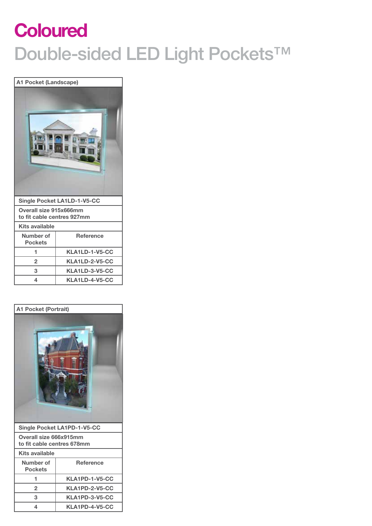## Double-sided LED Light Pockets<sup>™</sup> **Coloured**

|                                                      | A1 Pocket (Landscape)              |  |
|------------------------------------------------------|------------------------------------|--|
|                                                      |                                    |  |
|                                                      |                                    |  |
|                                                      | <b>Single Pocket LA1LD-1-V5-CC</b> |  |
| Overall size 915x666mm<br>to fit cable centres 927mm |                                    |  |
| <b>Kits available</b>                                |                                    |  |
| Number of<br><b>Pockets</b>                          | <b>Reference</b>                   |  |
| 1                                                    | KLA1LD-1-V5-CC                     |  |
| $\overline{2}$                                       | KLA1LD-2-V5-CC                     |  |
| 3                                                    | KLA1LD-3-V5-CC                     |  |

# **Single Pocket LA1PD-1-V5-CC A1 Pocket (Portrait)**

| Single Focket LATFD-T-V9-CC                          |                |
|------------------------------------------------------|----------------|
| Overall size 666x915mm<br>to fit cable centres 678mm |                |
| Kits available                                       |                |
| Number of<br><b>Pockets</b>                          | Reference      |
|                                                      | KLA1PD-1-V5-CC |
| KLA1PD-2-V5-CC<br>$\overline{2}$                     |                |
| 3<br>KLA1PD-3-V5-CC                                  |                |
| KLA1PD-4-V5-CC<br>4                                  |                |
|                                                      |                |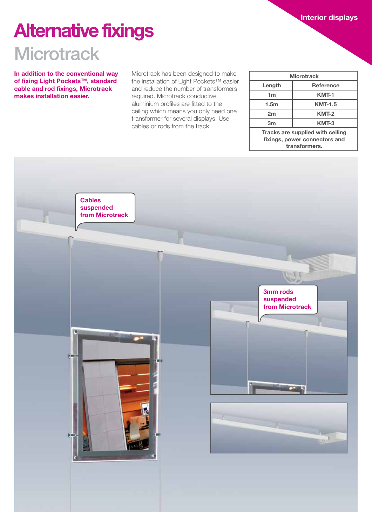**Interior displays**

### **Alternative fixings**

#### **Microtrack**

**In addition to the conventional way of fixing Light Pockets™, standard cable and rod fixings, Microtrack makes installation easier.**

Microtrack has been designed to make the installation of Light Pockets™ easier and reduce the number of transformers required. Microtrack conductive aluminium profiles are fitted to the ceiling which means you only need one transformer for several displays. Use cables or rods from the track.

| <b>Microtrack</b>                                                                                 |                  |  |
|---------------------------------------------------------------------------------------------------|------------------|--|
| Length                                                                                            | <b>Reference</b> |  |
| 1m                                                                                                | KMT-1            |  |
| 1.5 <sub>m</sub>                                                                                  | <b>KMT-1.5</b>   |  |
| 2m                                                                                                | KMT-2            |  |
| 3 <sub>m</sub>                                                                                    | KMT-3            |  |
| Tracks are supplied with ceiling<br>fixings, power connectors and<br>december 2014 a concern com- |                  |  |

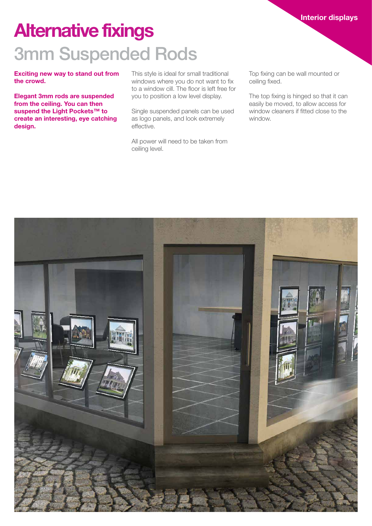#### **Interior displays**

## 3mm Suspended Rods **Alternative fixings**

**Exciting new way to stand out from the crowd.**

**Elegant 3mm rods are suspended from the ceiling. You can then suspend the Light Pockets™ to create an interesting, eye catching design.**

This style is ideal for small traditional windows where you do not want to fix to a window cill. The floor is left free for you to position a low level display.

Single suspended panels can be used as logo panels, and look extremely effective.

All power will need to be taken from ceiling level.

Top fixing can be wall mounted or ceiling fixed.

The top fixing is hinged so that it can easily be moved, to allow access for window cleaners if fitted close to the window.

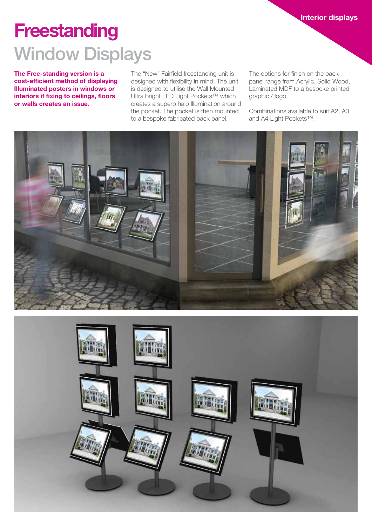### **Freestanding** Window Displays

**The Free-standing version is a cost-efficient method of displaying Illuminated posters in windows or interiors if fixing to ceilings, floors or walls creates an issue.** 

The "New" Fairfield freestanding unit is designed with flexibility in mind. The unit is designed to utilise the Wall Mounted Ultra bright LED Light Pockets™ which creates a superb halo Illumination around the pocket. The pocket is then mounted to a bespoke fabricated back panel.

The options for finish on the back panel range from Acrylic, Solid Wood, Laminated MDF to a bespoke printed graphic / logo.

Combinations available to suit A2, A3 and A4 Light Pockets™.



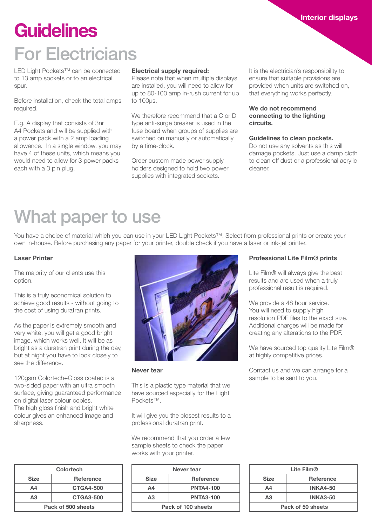#### For Electricians **Guidelines**

LED Light Pockets™ can be connected to 13 amp sockets or to an electrical spur.

Before installation, check the total amps required.

E.g. A display that consists of 3nr A4 Pockets and will be supplied with a power pack with a 2 amp loading allowance. In a single window, you may have 4 of these units, which means you would need to allow for 3 power packs each with a 3 pin plug.

#### **Electrical supply required:**

Please note that when multiple displays are installed, you will need to allow for up to 80-100 amp in-rush current for up to 100µs.

We therefore recommend that a C or D type anti-surge breaker is used in the fuse board when groups of supplies are switched on manually or automatically by a time-clock.

Order custom made power supply holders designed to hold two power supplies with integrated sockets.

It is the electrician's responsibility to ensure that suitable provisions are provided when units are switched on, that everything works perfectly.

#### **We do not recommend connecting to the lighting circuits.**

#### **Guidelines to clean pockets.**

Do not use any solvents as this will damage pockets. Just use a damp cloth to clean off dust or a professional acrylic cleaner.

#### What paper to use

You have a choice of material which you can use in your LED Light Pockets™. Select from professional prints or create your own in-house. Before purchasing any paper for your printer, double check if you have a laser or ink-jet printer.

#### **Laser Printer**

The majority of our clients use this option.

This is a truly economical solution to achieve good results - without going to the cost of using duratran prints.

As the paper is extremely smooth and very white, you will get a good bright image, which works well. It will be as bright as a duratran print during the day, but at night you have to look closely to see the difference.

120gsm Colortech+Gloss coated is a two-sided paper with an ultra smooth surface, giving guaranteed performance on digital laser colour copies. The high gloss finish and bright white colour gives an enhanced image and sharpness.

| <b>Colortech</b>   |                  |
|--------------------|------------------|
| <b>Size</b>        | <b>Reference</b> |
| A <sub>4</sub>     | <b>CTGA4-500</b> |
| A3                 | <b>CTGA3-500</b> |
| Pack of 500 sheets |                  |



**Never tear**

This is a plastic type material that we have sourced especially for the Light Pockets™.

It will give you the closest results to a professional duratran print.

We recommend that you order a few sample sheets to check the paper works with your printer.

| Never tear         |                  |
|--------------------|------------------|
| <b>Size</b>        | <b>Reference</b> |
| Δ4                 | <b>PNTA4-100</b> |
| А3                 | <b>PNTA3-100</b> |
| Pack of 100 sheets |                  |

#### **Professional Lite Film® prints**

Lite Film® will always give the best results and are used when a truly professional result is required.

We provide a 48 hour service. You will need to supply high resolution PDF files to the exact size. Additional charges will be made for creating any alterations to the PDF.

We have sourced top quality Lite Film® at highly competitive prices.

Contact us and we can arrange for a sample to be sent to you.

| Lite Film <sup>®</sup> |                  |  |
|------------------------|------------------|--|
| <b>Size</b>            | <b>Reference</b> |  |
| Α4                     | <b>INKA4-50</b>  |  |
| A3                     | <b>INKA3-50</b>  |  |
| Pack of 50 sheets      |                  |  |